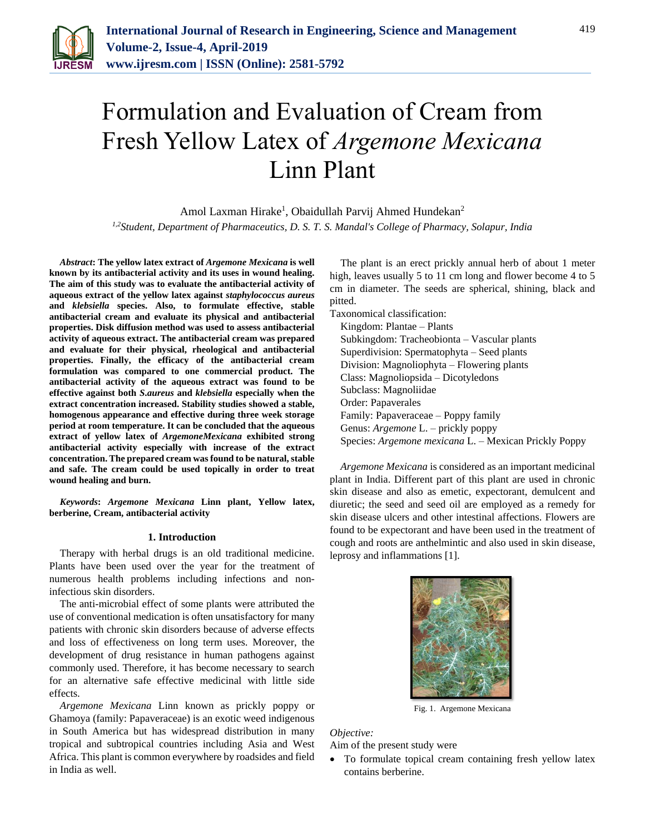

# Formulation and Evaluation of Cream from Fresh Yellow Latex of *Argemone Mexicana* Linn Plant

Amol Laxman Hirake<sup>1</sup>, Obaidullah Parvij Ahmed Hundekan<sup>2</sup> *1,2Student, Department of Pharmaceutics, D. S. T. S. Mandal's College of Pharmacy, Solapur, India*

*Abstract***: The yellow latex extract of** *Argemone Mexicana* **is well known by its antibacterial activity and its uses in wound healing. The aim of this study was to evaluate the antibacterial activity of aqueous extract of the yellow latex against** *staphylococcus aureus* **and** *klebsiella* **species. Also, to formulate effective, stable antibacterial cream and evaluate its physical and antibacterial properties. Disk diffusion method was used to assess antibacterial activity of aqueous extract. The antibacterial cream was prepared and evaluate for their physical, rheological and antibacterial properties. Finally, the efficacy of the antibacterial cream formulation was compared to one commercial product. The antibacterial activity of the aqueous extract was found to be effective against both** *S***.***aureus* **and** *klebsiella* **especially when the extract concentration increased. Stability studies showed a stable, homogenous appearance and effective during three week storage period at room temperature. It can be concluded that the aqueous extract of yellow latex of** *ArgemoneMexicana* **exhibited strong antibacterial activity especially with increase of the extract concentration. The prepared cream was found to be natural, stable and safe. The cream could be used topically in order to treat wound healing and burn.** 

*Keywords***:** *Argemone Mexicana* **Linn plant, Yellow latex, berberine, Cream, antibacterial activity**

#### **1. Introduction**

Therapy with herbal drugs is an old traditional medicine. Plants have been used over the year for the treatment of numerous health problems including infections and noninfectious skin disorders.

The anti-microbial effect of some plants were attributed the use of conventional medication is often unsatisfactory for many patients with chronic skin disorders because of adverse effects and loss of effectiveness on long term uses. Moreover, the development of drug resistance in human pathogens against commonly used. Therefore, it has become necessary to search for an alternative safe effective medicinal with little side effects.

*Argemone Mexicana* Linn known as prickly poppy or Ghamoya (family: Papaveraceae) is an exotic weed indigenous in South America but has widespread distribution in many tropical and subtropical countries including Asia and West Africa. This plant is common everywhere by roadsides and field in India as well.

The plant is an erect prickly annual herb of about 1 meter high, leaves usually 5 to 11 cm long and flower become 4 to 5 cm in diameter. The seeds are spherical, shining, black and pitted.

Taxonomical classification: Kingdom: Plantae – Plants Subkingdom: Tracheobionta – Vascular plants Superdivision: Spermatophyta – Seed plants Division: Magnoliophyta – Flowering plants Class: Magnoliopsida – Dicotyledons Subclass: Magnoliidae Order: Papaverales Family: Papaveraceae – Poppy family Genus: *Argemone* L. – prickly poppy Species: *Argemone mexicana* L. – Mexican Prickly Poppy

*Argemone Mexicana* is considered as an important medicinal plant in India. Different part of this plant are used in chronic skin disease and also as emetic, expectorant, demulcent and diuretic; the seed and seed oil are employed as a remedy for skin disease ulcers and other intestinal affections. Flowers are found to be expectorant and have been used in the treatment of cough and roots are anthelmintic and also used in skin disease, leprosy and inflammations [1].



Fig. 1. Argemone Mexicana

*Objective:*

Aim of the present study were

 To formulate topical cream containing fresh yellow latex contains berberine.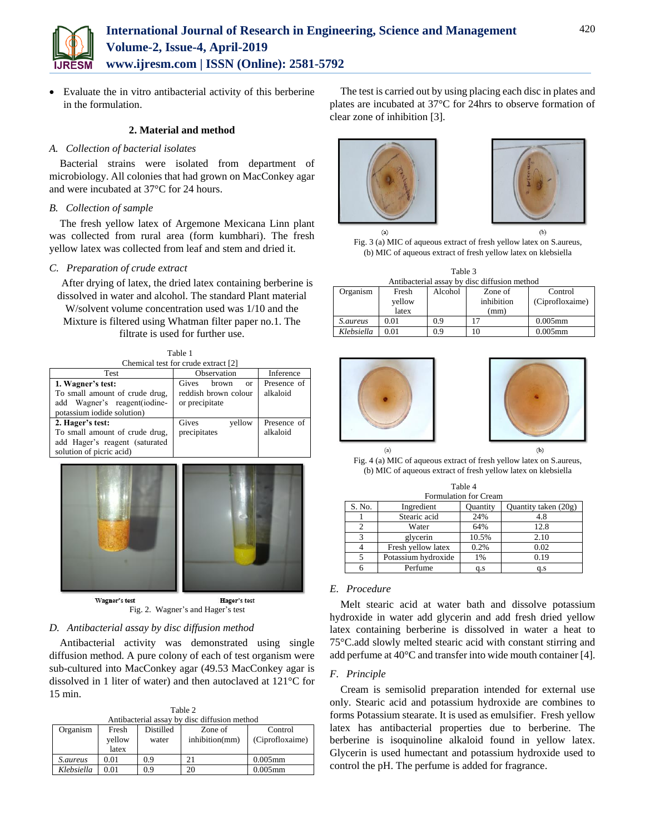

 Evaluate the in vitro antibacterial activity of this berberine in the formulation.

## **2. Material and method**

## *A. Collection of bacterial isolates*

Bacterial strains were isolated from department of microbiology. All colonies that had grown on MacConkey agar and were incubated at 37°C for 24 hours.

## *B. Collection of sample*

The fresh yellow latex of Argemone Mexicana Linn plant was collected from rural area (form kumbhari). The fresh yellow latex was collected from leaf and stem and dried it.

## *C. Preparation of crude extract*

After drying of latex, the dried latex containing berberine is dissolved in water and alcohol. The standard Plant material W/solvent volume concentration used was 1/10 and the Mixture is filtered using Whatman filter paper no.1. The filtrate is used for further use.

Table 1 Chemical test for crude extract [2]

| Test                                                                                                              | Observation                                                    | Inference               |
|-------------------------------------------------------------------------------------------------------------------|----------------------------------------------------------------|-------------------------|
| 1. Wagner's test:<br>To small amount of crude drug,<br>add Wagner's reagent(iodine-<br>potassium iodide solution) | Gives<br>brown<br>or<br>reddish brown colour<br>or precipitate | Presence of<br>alkaloid |
| 2. Hager's test:<br>To small amount of crude drug,<br>add Hager's reagent (saturated<br>solution of picric acid)  | Gives<br>yellow<br>precipitates                                | Presence of<br>alkaloid |



Fig. 2. Wagner's and Hager's test

#### *D. Antibacterial assay by disc diffusion method*

Antibacterial activity was demonstrated using single diffusion method. A pure colony of each of test organism were sub-cultured into MacConkey agar (49.53 MacConkey agar is dissolved in 1 liter of water) and then autoclaved at 121°C for 15 min.

Table 2

| Antibacterial assay by disc diffusion method |        |           |                |                 |
|----------------------------------------------|--------|-----------|----------------|-----------------|
| Organism                                     | Fresh  | Distilled | Zone of        | Control         |
|                                              | vellow | water     | inhibition(mm) | (Ciprofloxaime) |
|                                              | latex  |           |                |                 |
| <i>S.aureus</i>                              | 0.01   | 09        |                | $0.005$ mm      |
| Klebsiella                                   | 0.01   | 0.9       | 20             | $0.005$ mm      |

The test is carried out by using placing each disc in plates and plates are incubated at 37°C for 24hrs to observe formation of clear zone of inhibition [3].





Fig. 3 (a) MIC of aqueous extract of fresh yellow latex on S.aureus, (b) MIC of aqueous extract of fresh yellow latex on klebsiella

| Antibacterial assay by disc diffusion method |        |         |            |                 |
|----------------------------------------------|--------|---------|------------|-----------------|
| Organism                                     | Fresh  | Alcohol | Zone of    | Control         |
|                                              | yellow |         | inhibition | (Ciprofloxaime) |
|                                              | latex  |         | (mm)       |                 |
| <i>S.aureus</i>                              | 0.01   | 09      |            | $0.005$ mm      |
| Klebsiella                                   | 0.01   | 0.9     | 10         | $0.005$ mm      |





Fig. 4 (a) MIC of aqueous extract of fresh yellow latex on S.aureus, (b) MIC of aqueous extract of fresh yellow latex on klebsiella

Table 4

| .                            |                     |          |                      |  |
|------------------------------|---------------------|----------|----------------------|--|
| <b>Formulation for Cream</b> |                     |          |                      |  |
| S. No.                       | Ingredient          | Quantity | Quantity taken (20g) |  |
|                              | Stearic acid        | 24%      | 4.8                  |  |
|                              | Water               | 64%      | 12.8                 |  |
| $\mathbf{R}$                 | glycerin            | 10.5%    | 2.10                 |  |
|                              | Fresh yellow latex  | 0.2%     | 0.02                 |  |
|                              | Potassium hydroxide | 1%       | 0.19                 |  |
|                              | Perfume             | a.s      | q.s                  |  |

## *E. Procedure*

Melt stearic acid at water bath and dissolve potassium hydroxide in water add glycerin and add fresh dried yellow latex containing berberine is dissolved in water a heat to 75°C.add slowly melted stearic acid with constant stirring and add perfume at 40°C and transfer into wide mouth container [4].

### *F. Principle*

Cream is semisolid preparation intended for external use only. Stearic acid and potassium hydroxide are combines to forms Potassium stearate. It is used as emulsifier. Fresh yellow latex has antibacterial properties due to berberine. The berberine is isoquinoline alkaloid found in yellow latex. Glycerin is used humectant and potassium hydroxide used to control the pH. The perfume is added for fragrance.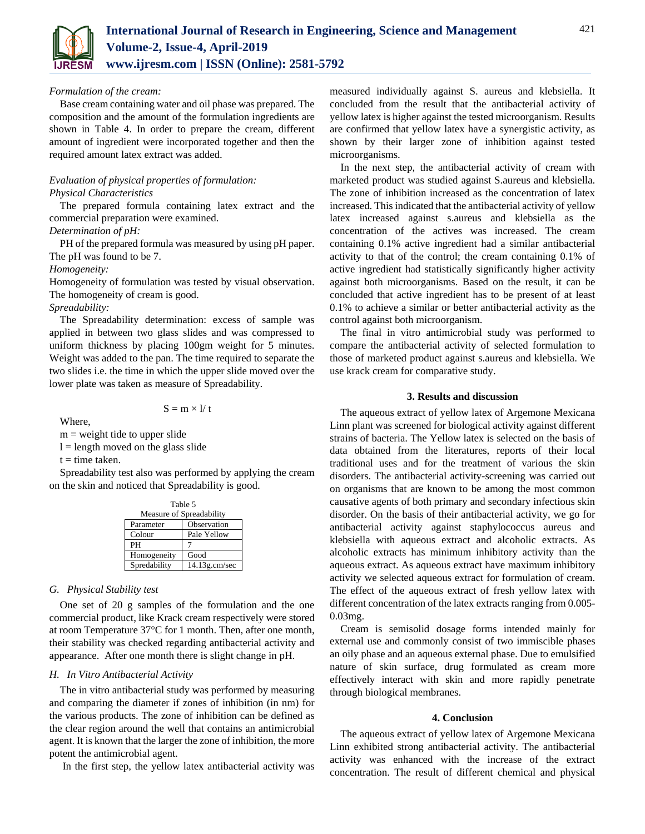

## *Formulation of the cream:*

Base cream containing water and oil phase was prepared. The composition and the amount of the formulation ingredients are shown in Table 4. In order to prepare the cream, different amount of ingredient were incorporated together and then the required amount latex extract was added.

# *Evaluation of physical properties of formulation: Physical Characteristics*

The prepared formula containing latex extract and the commercial preparation were examined.

# *Determination of pH:*

PH of the prepared formula was measured by using pH paper. The pH was found to be 7.

## *Homogeneity:*

Homogeneity of formulation was tested by visual observation. The homogeneity of cream is good.

## *Spreadability:*

The Spreadability determination: excess of sample was applied in between two glass slides and was compressed to uniform thickness by placing 100gm weight for 5 minutes. Weight was added to the pan. The time required to separate the two slides i.e. the time in which the upper slide moved over the lower plate was taken as measure of Spreadability.

## $S = m \times 1/t$

Where,

 $m = weight$  tide to upper slide

 $l =$  length moved on the glass slide

 $t =$  time taken.

Spreadability test also was performed by applying the cream on the skin and noticed that Spreadability is good.

| Table 5                  |                  |  |
|--------------------------|------------------|--|
| Measure of Spreadability |                  |  |
| Parameter                | Observation      |  |
| Colour                   | Pale Yellow      |  |
| PH                       |                  |  |
| Homogeneity              | Good             |  |
| Spredability             | $14.13$ g.cm/sec |  |

## *G. Physical Stability test*

One set of 20 g samples of the formulation and the one commercial product, like Krack cream respectively were stored at room Temperature 37°C for 1 month. Then, after one month, their stability was checked regarding antibacterial activity and appearance. After one month there is slight change in pH.

## *H. In Vitro Antibacterial Activity*

The in vitro antibacterial study was performed by measuring and comparing the diameter if zones of inhibition (in nm) for the various products. The zone of inhibition can be defined as the clear region around the well that contains an antimicrobial agent. It is known that the larger the zone of inhibition, the more potent the antimicrobial agent.

In the first step, the yellow latex antibacterial activity was

measured individually against S. aureus and klebsiella. It concluded from the result that the antibacterial activity of yellow latex is higher against the tested microorganism. Results are confirmed that yellow latex have a synergistic activity, as shown by their larger zone of inhibition against tested microorganisms.

In the next step, the antibacterial activity of cream with marketed product was studied against S.aureus and klebsiella. The zone of inhibition increased as the concentration of latex increased. This indicated that the antibacterial activity of yellow latex increased against s.aureus and klebsiella as the concentration of the actives was increased. The cream containing 0.1% active ingredient had a similar antibacterial activity to that of the control; the cream containing 0.1% of active ingredient had statistically significantly higher activity against both microorganisms. Based on the result, it can be concluded that active ingredient has to be present of at least 0.1% to achieve a similar or better antibacterial activity as the control against both microorganism.

The final in vitro antimicrobial study was performed to compare the antibacterial activity of selected formulation to those of marketed product against s.aureus and klebsiella. We use krack cream for comparative study.

## **3. Results and discussion**

The aqueous extract of yellow latex of Argemone Mexicana Linn plant was screened for biological activity against different strains of bacteria. The Yellow latex is selected on the basis of data obtained from the literatures, reports of their local traditional uses and for the treatment of various the skin disorders. The antibacterial activity-screening was carried out on organisms that are known to be among the most common causative agents of both primary and secondary infectious skin disorder. On the basis of their antibacterial activity, we go for antibacterial activity against staphylococcus aureus and klebsiella with aqueous extract and alcoholic extracts. As alcoholic extracts has minimum inhibitory activity than the aqueous extract. As aqueous extract have maximum inhibitory activity we selected aqueous extract for formulation of cream. The effect of the aqueous extract of fresh yellow latex with different concentration of the latex extracts ranging from 0.005- 0.03mg.

Cream is semisolid dosage forms intended mainly for external use and commonly consist of two immiscible phases an oily phase and an aqueous external phase. Due to emulsified nature of skin surface, drug formulated as cream more effectively interact with skin and more rapidly penetrate through biological membranes.

## **4. Conclusion**

The aqueous extract of yellow latex of Argemone Mexicana Linn exhibited strong antibacterial activity. The antibacterial activity was enhanced with the increase of the extract concentration. The result of different chemical and physical